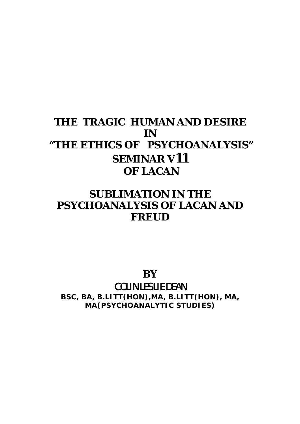# **THE TRAGIC HUMAN AND DESIRE IN "THE ETHICS OF PSYCHOANALYSIS" SEMINAR V11 OF LACAN**

## **SUBLIMATION IN THE PSYCHOANALYSIS OF LACAN AND FREUD**

**BY**  COLIN LESLIE DEAN

**BSC, BA, B.LITT(HON),MA, B.LITT(HON), MA, MA(PSYCHOANALYTIC STUDIES)**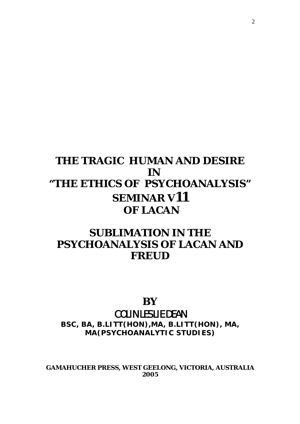# **THE TRAGIC HUMAN AND DESIRE IN "THE ETHICS OF PSYCHOANALYSIS" SEMINAR V11 OF LACAN**

## **SUBLIMATION IN THE PSYCHOANALYSIS OF LACAN AND FREUD**

## **BY**  COLIN LESLIE DEAN

**BSC, BA, B.LITT(HON),MA, B.LITT(HON), MA, MA(PSYCHOANALYTIC STUDIES)** 

**GAMAHUCHER PRESS, WEST GEELONG, VICTORIA, AUSTRALIA 2005**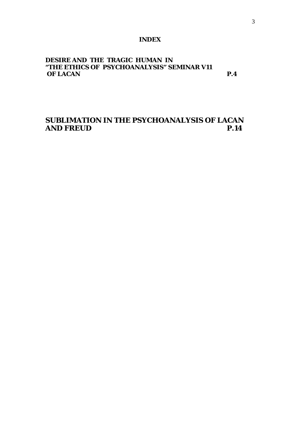#### **INDEX**

### **DESIRE AND THE TRAGIC HUMAN IN "THE ETHICS OF PSYCHOANALYSIS" SEMINAR V11 OF LACAN** P.4

**SUBLIMATION IN THE PSYCHOANALYSIS OF LACAN AND FREUD P.14**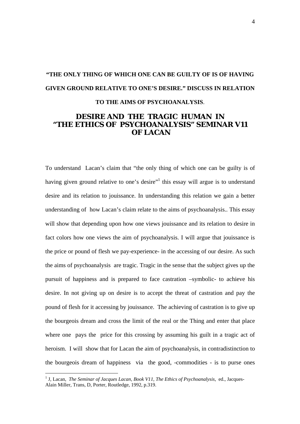# **"THE ONLY THING OF WHICH ONE CAN BE GUILTY OF IS OF HAVING GIVEN GROUND RELATIVE TO ONE'S DESIRE." DISCUSS IN RELATION TO THE AIMS OF PSYCHOANALYSIS**.

## **DESIRE AND THE TRAGIC HUMAN IN "THE ETHICS OF PSYCHOANALYSIS" SEMINAR V11 OF LACAN**

To understand Lacan's claim that "the only thing of which one can be guilty is of having given ground relative to one's desire"<sup>[1](#page-3-0)</sup> this essay will argue is to understand desire and its relation to jouissance. In understanding this relation we gain a better understanding of how Lacan's claim relate to the aims of psychoanalysis.. This essay will show that depending upon how one views jouissance and its relation to desire in fact colors how one views the aim of psychoanalysis. I will argue that jouissance is the price or pound of flesh we pay-experience- in the accessing of our desire. As such the aims of psychoanalysis are tragic. Tragic in the sense that the subject gives up the pursuit of happiness and is prepared to face castration –symbolic- to achieve his desire. In not giving up on desire is to accept the threat of castration and pay the pound of flesh for it accessing by jouissance. The achieving of castration is to give up the bourgeois dream and cross the limit of the real or the Thing and enter that place where one pays the price for this crossing by assuming his guilt in a tragic act of heroism. I will show that for Lacan the aim of psychoanalysis, in contradistinction to the bourgeois dream of happiness via the good, -commodities - is to purse ones

<span id="page-3-0"></span><sup>&</sup>lt;sup>1</sup> J, Lacan, *The Seminar of Jacques Lacan, Book V11, The Ethics of Psychoanalysis, ed., Jacques-*Alain Miller, Trans, D, Porter, Routledge, 1992, p.319.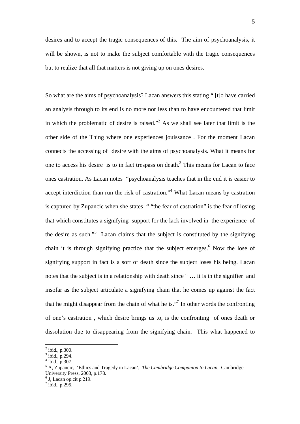desires and to accept the tragic consequences of this. The aim of psychoanalysis, it will be shown, is not to make the subject comfortable with the tragic consequences but to realize that all that matters is not giving up on ones desires.

So what are the aims of psychoanalysis? Lacan answers this stating " [t]o have carried an analysis through to its end is no more nor less than to have encountered that limit in which the problematic of desire is raised. $\frac{1}{2}$  $\frac{1}{2}$  $\frac{1}{2}$  As we shall see later that limit is the other side of the Thing where one experiences jouissance . For the moment Lacan connects the accessing of desire with the aims of psychoanalysis. What it means for one to access his desire is to in fact trespass on death.<sup>[3](#page-4-1)</sup> This means for Lacan to face ones castration. As Lacan notes "psychoanalysis teaches that in the end it is easier to accept interdiction than run the risk of castration."<sup>[4](#page-4-2)</sup> What Lacan means by castration is captured by Zupancic when she states " "the fear of castration" is the fear of losing that which constitutes a signifying support for the lack involved in the experience of the desire as such."<sup>[5](#page-4-3)</sup> Lacan claims that the subject is constituted by the signifying chain it is through signifying practice that the subject emerges. $<sup>6</sup>$  $<sup>6</sup>$  $<sup>6</sup>$  Now the lose of</sup> signifying support in fact is a sort of death since the subject loses his being. Lacan notes that the subject is in a relationship with death since " … it is in the signifier and insofar as the subject articulate a signifying chain that he comes up against the fact that he might disappear from the chain of what he is."<sup>[7](#page-4-5)</sup> In other words the confronting of one's castration , which desire brings us to, is the confronting of ones death or dissolution due to disappearing from the signifying chain. This what happened to

<span id="page-4-0"></span> $^{2}$  ibid., p.300.

<span id="page-4-1"></span> $3$  ibid., p.294.

<span id="page-4-2"></span> $4$  ibid., p.307.

<span id="page-4-3"></span><sup>5</sup> A, Zupancic, 'Ethics and Tragedy in Lacan', *The Cambridge Companion to Lacan*, Cambridge University Press, 2003, p.178.

<span id="page-4-4"></span> $<sup>6</sup>$  J, Lacan op.cit p.219.</sup>

<span id="page-4-5"></span> $^7$  ibid., p.295.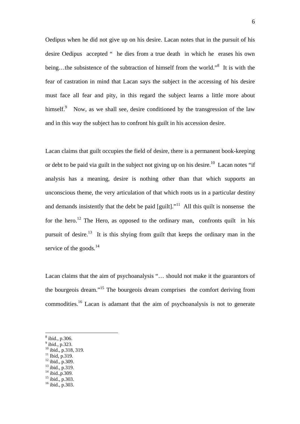Oedipus when he did not give up on his desire. Lacan notes that in the pursuit of his desire Oedipus accepted " he dies from a true death in which he erases his own being...the subsistence of the subtraction of himself from the world."<sup>[8](#page-5-0)</sup> It is with the fear of castration in mind that Lacan says the subject in the accessing of his desire must face all fear and pity, in this regard the subject learns a little more about himself. $9$  Now, as we shall see, desire conditioned by the transgression of the law and in this way the subject has to confront his guilt in his accession desire.

Lacan claims that guilt occupies the field of desire, there is a permanent book-keeping or debt to be paid via guilt in the subject not giving up on his desire.<sup>10</sup> Lacan notes "if analysis has a meaning, desire is nothing other than that which supports an unconscious theme, the very articulation of that which roots us in a particular destiny and demands insistently that the debt be paid  $\left[\text{guilt}\right]$ .<sup>"11</sup> All this quilt is nonsense the for the hero.<sup>12</sup> The Hero, as opposed to the ordinary man, confronts quilt in his pursuit of desire.<sup>13</sup> It is this shying from guilt that keeps the ordinary man in the service of the goods.<sup>14</sup>

Lacan claims that the aim of psychoanalysis "… should not make it the guarantors of the bourgeois dream."[15](#page-5-7) The bourgeois dream comprises the comfort deriving from commodities.<sup>16</sup> Lacan is adamant that the aim of psychoanalysis is not to generate

- <span id="page-5-2"></span> $10$  ibid., p.318, 319.
- <span id="page-5-3"></span> $11$  Ibid, p.319.
- <span id="page-5-4"></span><sup>12</sup> ibid., p.309.  $13$  ibid., p.319.
- <span id="page-5-6"></span><span id="page-5-5"></span> $14$  ibid., p.309.
- <span id="page-5-7"></span><sup>15</sup> ibid., p.303.
- <span id="page-5-8"></span>16 ibid., p.303.
	-

<span id="page-5-0"></span><sup>8</sup> ibid., p.306.

<span id="page-5-1"></span> $<sup>9</sup>$  ibid., p.323.</sup>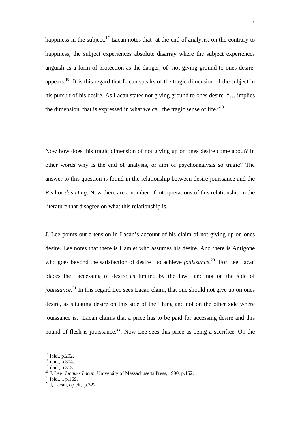happiness in the subject.<sup>17</sup> Lacan notes that at the end of analysis, on the contrary to happiness, the subject experiences absolute disarray where the subject experiences anguish as a form of protection as the danger, of not giving ground to ones desire, appears.[18](#page-6-1) It is this regard that Lacan speaks of the tragic dimension of the subject in his pursuit of his desire. As Lacan states not giving ground to ones desire "… implies the dimension that is expressed in what we call the tragic sense of life.["19](#page-6-2)

Now how does this tragic dimension of not giving up on ones desire come about? In other words why is the end of analysis, or aim of psychoanalysis so tragic? The answer to this question is found in the relationship between desire jouissance and the Real or *das Ding*. Now there are a number of interpretations of this relationship in the literature that disagree on what this relationship is.

J. Lee points out a tension in Lacan's account of his claim of not giving up on ones desire. Lee notes that there is Hamlet who assumes his desire. And there is Antigone who goes beyond the satisfaction of desire to achieve *jouissance*.<sup>20</sup> For Lee Lacan places the accessing of desire as limited by the law and not on the side of *jouissance*.<sup>21</sup> In this regard Lee sees Lacan claim, that one should not give up on ones desire, as situating desire on this side of the Thing and not on the other side where jouissance is. Lacan claims that a price has to be paid for accessing desire and this pound of flesh is jouissance.<sup>22</sup>. Now Lee sees this price as being a sacrifice. On the

<span id="page-6-0"></span> $17$  ibid., p.292.

<span id="page-6-1"></span><sup>18</sup> ibid., p.304.

<span id="page-6-2"></span> $^{19}$  ibid., p.313.

<span id="page-6-3"></span><sup>20</sup> J, Lee *Jacques Lacan*, University of Massachusetts Press, 1990, p.162.<br><sup>21</sup> ibid., ., p.169.

<span id="page-6-4"></span>

<span id="page-6-5"></span> $22$  J, Lacan, op.cit, p.322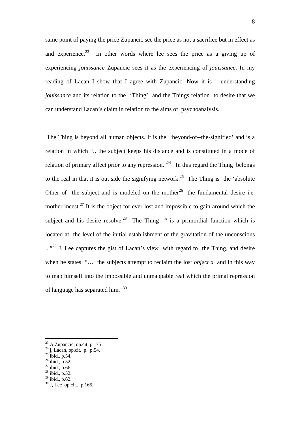same point of paying the price Zupancic see the price as not a sacrifice but in effect as and experience.<sup>23</sup> In other words where lee sees the price as a giving up of experiencing *jouissance* Zupancic sees it as the experiencing of *jouissance*. In my reading of Lacan I show that I agree with Zupancic. Now it is understanding *jouissance* and its relation to the 'Thing' and the Things relation to desire that we can understand Lacan's claim in relation to the aims of psychoanalysis.

 The Thing is beyond all human objects. It is the 'beyond-of--the-signified' and is a relation in which ".. the subject keeps his distance and is constituted in a mode of relation of primary affect prior to any repression."<sup>24</sup> In this regard the Thing belongs to the real in that it is out side the signifying network.<sup>25</sup> The Thing is the 'absolute Other of the subject and is modeled on the mother<sup>26</sup>- the fundamental desire i.e. mother incest.<sup>27</sup> It is the object for ever lost and impossible to gain around which the subject and his desire resolve.<sup>28</sup> The Thing " is a primordial function which is located at the level of the initial establishment of the gravitation of the unconscious ..."<sup>29</sup> J, Lee captures the gist of Lacan's view with regard to the Thing, and desire when he states "… the subjects attempt to reclaim the lost *object a* and in this way to map himself into the impossible and unmappable real which the primal repression of language has separated him."[30](#page-7-7) 

<span id="page-7-0"></span> $23$  A,Zupancic, op.cit, p.175.

<span id="page-7-1"></span> $^{24}$  j, Lacan, op.cit, p. p.54.

<span id="page-7-2"></span> $^{25}$  ibid., p.54.

<span id="page-7-3"></span><sup>26</sup> ibid., p.52.

<span id="page-7-4"></span> $27$  ibid., p.66.

<span id="page-7-5"></span> $28$  ibid., p.52.

<span id="page-7-6"></span><sup>29</sup> ibid., p.62.

<span id="page-7-7"></span><sup>30</sup> J, Lee op.cit., p.165.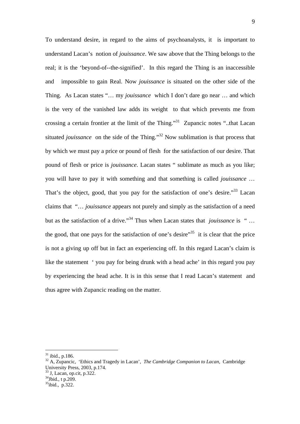To understand desire, in regard to the aims of psychoanalysts, it is important to understand Lacan's notion of *jouissance*. We saw above that the Thing belongs to the real; it is the 'beyond-of--the-signified'. In this regard the Thing is an inaccessible and impossible to gain Real. Now *jouissance* is situated on the other side of the Thing. As Lacan states "… my *jouissance* which I don't dare go near … and which is the very of the vanished law adds its weight to that which prevents me from crossing a certain frontier at the limit of the Thing."[31](#page-8-0) Zupancic notes "..that Lacan situated *jouissance* on the side of the Thing."<sup>32</sup> Now sublimation is that process that by which we must pay a price or pound of flesh for the satisfaction of our desire. That pound of flesh or price is *jouissance*. Lacan states " sublimate as much as you like; you will have to pay it with something and that something is called *jouissance* … That's the object, good, that you pay for the satisfaction of one's desire.<sup>33</sup> Lacan claims that "… *jouissance* appears not purely and simply as the satisfaction of a need but as the satisfaction of a drive."<sup>34</sup> Thus when Lacan states that *jouissance* is "... the good, that one pays for the satisfaction of one's desire"<sup>35</sup> it is clear that the price is not a giving up off but in fact an experiencing off. In this regard Lacan's claim is like the statement ' you pay for being drunk with a head ache' in this regard you pay by experiencing the head ache. It is in this sense that I read Lacan's statement and thus agree with Zupancic reading on the matter.

<span id="page-8-0"></span> $31$  ibid., p.186.

<span id="page-8-1"></span><sup>&</sup>lt;sup>32</sup> A, Zupancic, 'Ethics and Tragedy in Lacan', *The Cambridge Companion to Lacan*, Cambridge University Press, 2003, p.174.

<span id="page-8-2"></span><sup>33</sup> J, Lacan, op.cit, p.322.

<span id="page-8-3"></span><sup>34</sup>Jbid., t p.209.

<span id="page-8-4"></span> $35$ ibid., p. 322.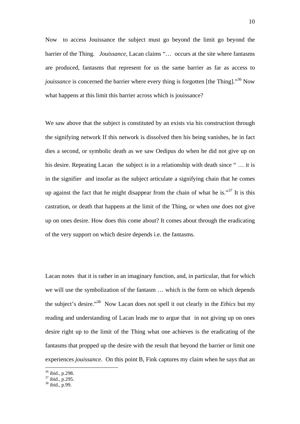Now to access Jouissance the subject must go beyond the limit go beyond the barrier of the Thing. *Jouissance,* Lacan claims "… occurs at the site where fantasms are produced, fantasms that represent for us the same barrier as far as access to *jouissance* is concerned the barrier where every thing is forgotten [the Thing].<sup>36</sup> Now what happens at this limit this barrier across which is jouissance?

We saw above that the subject is constituted by an exists via his construction through the signifying network If this network is dissolved then his being vanishes, he in fact dies a second, or symbolic death as we saw Oedipus do when he did not give up on his desire. Repeating Lacan the subject is in a relationship with death since "... it is in the signifier and insofar as the subject articulate a signifying chain that he comes up against the fact that he might disappear from the chain of what he is.<sup>37</sup> It is this castration, or death that happens at the limit of the Thing, or when one does not give up on ones desire. How does this come about? It comes about through the eradicating of the very support on which desire depends i.e. the fantasms.

Lacan notes that it is rather in an imaginary function, and, in particular, that for which we will use the symbolization of the fantasm … which is the form on which depends the subject's desire."[38](#page-9-2) Now Lacan does not spell it out clearly in the *Ethics* but my reading and understanding of Lacan leads me to argue that in not giving up on ones desire right up to the limit of the Thing what one achieves is the eradicating of the fantasms that propped up the desire with the result that beyond the barrier or limit one experiences *jouissance*. On this point B, Fink captures my claim when he says that an

<span id="page-9-0"></span><sup>36</sup> ibid., p.298.

<span id="page-9-1"></span> $37$  ibid., p.295.

<span id="page-9-2"></span> $38$  ibid., p.99.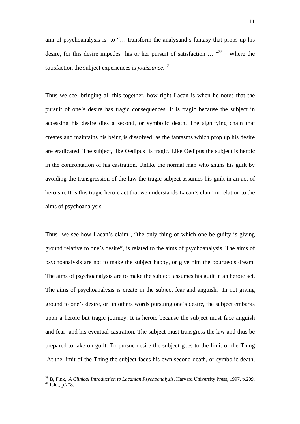aim of psychoanalysis is to "… transform the analysand's fantasy that props up his desire, for this desire impedes his or her pursuit of satisfaction  $\ldots$   $\cdot^{39}$  Where the satisfaction the subject experiences is *jouissance.[40](#page-10-1)*

Thus we see, bringing all this together, how right Lacan is when he notes that the pursuit of one's desire has tragic consequences. It is tragic because the subject in accessing his desire dies a second, or symbolic death. The signifying chain that creates and maintains his being is dissolved as the fantasms which prop up his desire are eradicated. The subject, like Oedipus is tragic. Like Oedipus the subject is heroic in the confrontation of his castration. Unlike the normal man who shuns his guilt by avoiding the transgression of the law the tragic subject assumes his guilt in an act of heroism. It is this tragic heroic act that we understands Lacan's claim in relation to the aims of psychoanalysis.

Thus we see how Lacan's claim , "the only thing of which one be guilty is giving ground relative to one's desire", is related to the aims of psychoanalysis. The aims of psychoanalysis are not to make the subject happy, or give him the bourgeois dream. The aims of psychoanalysis are to make the subject assumes his guilt in an heroic act. The aims of psychoanalysis is create in the subject fear and anguish. In not giving ground to one's desire, or in others words pursuing one's desire, the subject embarks upon a heroic but tragic journey. It is heroic because the subject must face anguish and fear and his eventual castration. The subject must transgress the law and thus be prepared to take on guilt. To pursue desire the subject goes to the limit of the Thing .At the limit of the Thing the subject faces his own second death, or symbolic death,

<span id="page-10-1"></span><span id="page-10-0"></span><sup>&</sup>lt;sup>39</sup> B, Fink, *A Clinical Introduction to Lacanian Psychoanalysis*, Harvard University Press, 1997, p.209. <sup>40</sup> ibid., p.208.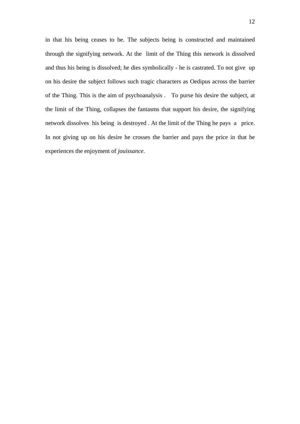in that his being ceases to be. The subjects being is constructed and maintained through the signifying network. At the limit of the Thing this network is dissolved and thus his being is dissolved; he dies symbolically - he is castrated. To not give up on his desire the subject follows such tragic characters as Oedipus across the barrier of the Thing. This is the aim of psychoanalysis . To purse his desire the subject, at the limit of the Thing, collapses the fantasms that support his desire, the signifying network dissolves his being is destroyed . At the limit of the Thing he pays a price. In not giving up on his desire he crosses the barrier and pays the price in that he experiences the enjoyment of *jouissance*.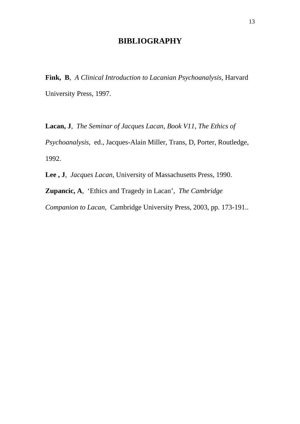## **BIBLIOGRAPHY**

**Fink, B**, *A Clinical Introduction to Lacanian Psychoanalysis*, Harvard University Press, 1997.

**Lacan, J**, *The Seminar of Jacques Lacan, Book V11, The Ethics of Psychoanalysis*, ed., Jacques-Alain Miller, Trans, D, Porter, Routledge, 1992.

**Lee , J**, *Jacques Lacan*, University of Massachusetts Press, 1990.

**Zupancic, A**, 'Ethics and Tragedy in Lacan', *The Cambridge Companion to Lacan*, Cambridge University Press, 2003, pp. 173-191..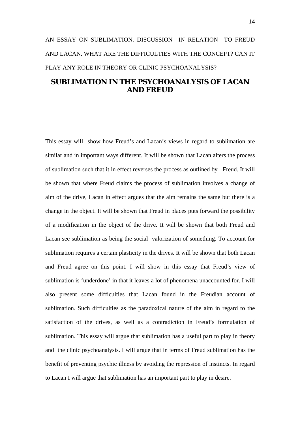## AN ESSAY ON SUBLIMATION. DISCUSSION IN RELATION TO FREUD AND LACAN. WHAT ARE THE DIFFICULTIES WITH THE CONCEPT? CAN IT PLAY ANY ROLE IN THEORY OR CLINIC PSYCHOANALYSIS?

### **SUBLIMATION IN THE PSYCHOANALYSIS OF LACAN AND FREUD**

This essay will show how Freud's and Lacan's views in regard to sublimation are similar and in important ways different. It will be shown that Lacan alters the process of sublimation such that it in effect reverses the process as outlined by Freud. It will be shown that where Freud claims the process of sublimation involves a change of aim of the drive, Lacan in effect argues that the aim remains the same but there is a change in the object. It will be shown that Freud in places puts forward the possibility of a modification in the object of the drive. It will be shown that both Freud and Lacan see sublimation as being the social valorization of something. To account for sublimation requires a certain plasticity in the drives. It will be shown that both Lacan and Freud agree on this point. I will show in this essay that Freud's view of sublimation is 'underdone' in that it leaves a lot of phenomena unaccounted for. I will also present some difficulties that Lacan found in the Freudian account of sublimation. Such difficulties as the paradoxical nature of the aim in regard to the satisfaction of the drives, as well as a contradiction in Freud's formulation of sublimation. This essay will argue that sublimation has a useful part to play in theory and the clinic psychoanalysis. I will argue that in terms of Freud sublimation has the benefit of preventing psychic illness by avoiding the repression of instincts. In regard to Lacan I will argue that sublimation has an important part to play in desire.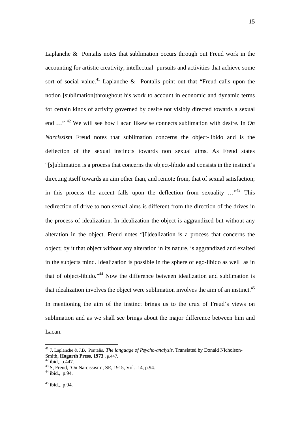Laplanche & Pontalis notes that sublimation occurs through out Freud work in the accounting for artistic creativity, intellectual pursuits and activities that achieve some sort of social value.<sup>41</sup> Laplanche  $\&$  Pontalis point out that "Freud calls upon the notion [sublimation]throughout his work to account in economic and dynamic terms for certain kinds of activity governed by desire not visibly directed towards a sexual end …" [42](#page-14-1) We will see how Lacan likewise connects sublimation with desire. In *On Narcissism* Freud notes that sublimation concerns the object-libido and is the deflection of the sexual instincts towards non sexual aims. As Freud states "[s]ublimation is a process that concerns the object-libido and consists in the instinct's directing itself towards an aim other than, and remote from, that of sexual satisfaction; in this process the accent falls upon the deflection from sexuality  $\ldots$ <sup>43</sup> This redirection of drive to non sexual aims is different from the direction of the drives in the process of idealization. In idealization the object is aggrandized but without any alteration in the object. Freud notes "[I]dealization is a process that concerns the object; by it that object without any alteration in its nature, is aggrandized and exalted in the subjects mind. Idealization is possible in the sphere of ego-libido as well as in that of object-libido."[44](#page-14-3) Now the difference between idealization and sublimation is that idealization involves the object were sublimation involves the aim of an instinct.<sup>45</sup> In mentioning the aim of the instinct brings us to the crux of Freud's views on sublimation and as we shall see brings about the major difference between him and Lacan.

<span id="page-14-0"></span><sup>41</sup> J, Laplanche & J,B, Pontalis, *The language of Psycho-analysis*, Translated by Donald Nicholson-Smith, Hogarth Press, 1973, p.447.<br><sup>42</sup> ibid., p.447.

<span id="page-14-1"></span>

<span id="page-14-2"></span> $43$  S, Freud, 'On Narcissism', SE, 1915, Vol. .14, p.94.

<span id="page-14-3"></span> $44$  ibid., p.94.

<span id="page-14-4"></span> $45$  ibid., p.94.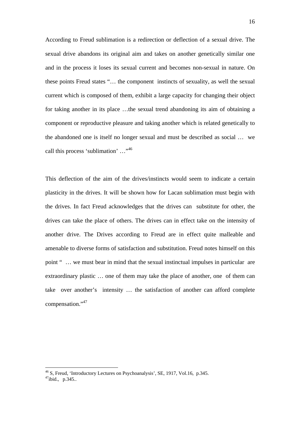According to Freud sublimation is a redirection or deflection of a sexual drive. The sexual drive abandons its original aim and takes on another genetically similar one and in the process it loses its sexual current and becomes non-sexual in nature. On these points Freud states "… the component instincts of sexuality, as well the sexual current which is composed of them, exhibit a large capacity for changing their object for taking another in its place …the sexual trend abandoning its aim of obtaining a component or reproductive pleasure and taking another which is related genetically to the abandoned one is itself no longer sexual and must be described as social … we call this process 'sublimation' …"[46](#page-15-0) 

This deflection of the aim of the drives/instincts would seem to indicate a certain plasticity in the drives. It will be shown how for Lacan sublimation must begin with the drives. In fact Freud acknowledges that the drives can substitute for other, the drives can take the place of others. The drives can in effect take on the intensity of another drive. The Drives according to Freud are in effect quite malleable and amenable to diverse forms of satisfaction and substitution. Freud notes himself on this point " … we must bear in mind that the sexual instinctual impulses in particular are extraordinary plastic … one of them may take the place of another, one of them can take over another's intensity … the satisfaction of another can afford complete compensation."<sup>[47](#page-15-1)</sup>

<span id="page-15-1"></span><span id="page-15-0"></span> $46$  S, Freud, 'Introductory Lectures on Psychoanalysis', SE, 1917, Vol.16, p.345.  $47$ ibid., p.345..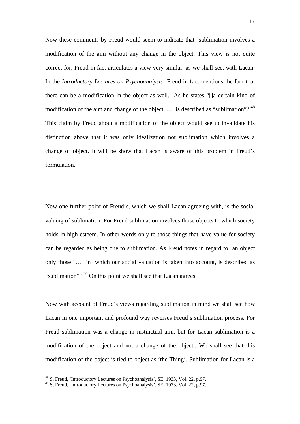Now these comments by Freud would seem to indicate that sublimation involves a modification of the aim without any change in the object. This view is not quite correct for, Freud in fact articulates a view very similar, as we shall see, with Lacan. In the *Introductory Lectures on Psychoanalysis* Freud in fact mentions the fact that there can be a modification in the object as well. As he states "[]a certain kind of modification of the aim and change of the object, ... is described as "sublimation".<sup>48</sup> This claim by Freud about a modification of the object would see to invalidate his distinction above that it was only idealization not sublimation which involves a change of object. It will be show that Lacan is aware of this problem in Freud's formulation.

Now one further point of Freud's, which we shall Lacan agreeing with, is the social valuing of sublimation. For Freud sublimation involves those objects to which society holds in high esteem. In other words only to those things that have value for society can be regarded as being due to sublimation. As Freud notes in regard to an object only those "… in which our social valuation is taken into account, is described as "sublimation"."<sup>49</sup> On this point we shall see that Lacan agrees.

Now with account of Freud's views regarding sublimation in mind we shall see how Lacan in one important and profound way reverses Freud's sublimation process. For Freud sublimation was a change in instinctual aim, but for Lacan sublimation is a modification of the object and not a change of the object.. We shall see that this modification of the object is tied to object as 'the Thing'. Sublimation for Lacan is a

<span id="page-16-0"></span><sup>48</sup> S, Freud, 'Introductory Lectures on Psychoanalysis', SE, 1933, Vol. 22, p.97.

<span id="page-16-1"></span><sup>49</sup> S, Freud, 'Introductory Lectures on Psychoanalysis', SE, 1933, Vol. 22, p.97.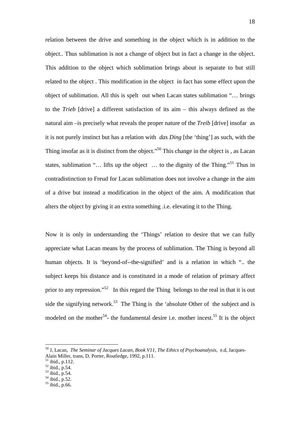relation between the drive and something in the object which is in addition to the object.. Thus sublimation is not a change of object but in fact a change in the object. This addition to the object which sublimation brings about is separate to but still related to the object . This modification in the object in fact has some effect upon the object of sublimation. All this is spelt out when Lacan states sublimation "… brings to the *Trieb* [drive] a different satisfaction of its aim – this always defined as the natural aim –is precisely what reveals the proper nature of the *Treib* [drive] insofar as it is not purely instinct but has a relation with *das Ding* [the 'thing'] as such, with the Thing insofar as it is distinct from the object."<sup>50</sup> This change in the object is, as Lacan states, sublimation "... lifts up the object ... to the dignity of the Thing."<sup>51</sup> Thus in contradistinction to Freud for Lacan sublimation does not involve a change in the aim of a drive but instead a modification in the object of the aim. A modification that alters the object by giving it an extra something .i.e. elevating it to the Thing.

Now it is only in understanding the 'Things' relation to desire that we can fully appreciate what Lacan means by the process of sublimation. The Thing is beyond all human objects. It is 'beyond-of--the-signified' and is a relation in which ".. the subject keeps his distance and is constituted in a mode of relation of primary affect prior to any repression."<sup>52</sup> In this regard the Thing belongs to the real in that it is out side the signifying network.<sup>53</sup> The Thing is the 'absolute Other of the subject and is modeled on the mother<sup>54</sup>- the fundamental desire i.e. mother incest.<sup>55</sup> It is the object

<span id="page-17-0"></span><sup>50</sup> J, Lacan, *The Seminar of Jacques Lacan, Book V11, The Ethics of Psychoanalysis*, e.d, Jacques-Alain Miller, trans, D, Porter, Routledge, 1992, p.111.

<span id="page-17-1"></span><sup>51</sup> ibid., p.112.

<span id="page-17-2"></span><sup>52</sup> ibid., p.54.

<span id="page-17-3"></span><sup>53</sup> ibid., p.54.

<span id="page-17-4"></span><sup>54</sup> ibid., p.52.

<span id="page-17-5"></span><sup>55</sup> ibid., p.66.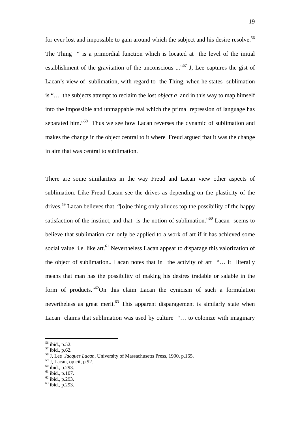for ever lost and impossible to gain around which the subject and his desire resolve.<sup>56</sup> The Thing " is a primordial function which is located at the level of the initial establishment of the gravitation of the unconscious  $\ldots$ <sup>57</sup> J, Lee captures the gist of Lacan's view of sublimation, with regard to the Thing, when he states sublimation is "… the subjects attempt to reclaim the lost *object a* and in this way to map himself into the impossible and unmappable real which the primal repression of language has separated him."<sup>58</sup> Thus we see how Lacan reverses the dynamic of sublimation and makes the change in the object central to it where Freud argued that it was the change in aim that was central to sublimation.

There are some similarities in the way Freud and Lacan view other aspects of sublimation. Like Freud Lacan see the drives as depending on the plasticity of the drives.<sup>59</sup> Lacan believes that "[o]ne thing only alludes top the possibility of the happy satisfaction of the instinct, and that is the notion of sublimation.["60](#page-18-4) Lacan seems to believe that sublimation can only be applied to a work of art if it has achieved some social value i.e. like art.<sup>61</sup> Nevertheless Lacan appear to disparage this valorization of the object of sublimation.. Lacan notes that in the activity of art "… it literally means that man has the possibility of making his desires tradable or salable in the form of products." $62$ On this claim Lacan the cynicism of such a formulation nevertheless as great merit. $63$  This apparent disparagement is similarly state when Lacan claims that sublimation was used by culture "… to colonize with imaginary

- <span id="page-18-3"></span>59 J, Lacan, op.cit, p.92.
- <span id="page-18-4"></span>60 ibid., p.293.
- <span id="page-18-5"></span> $61$  ibid., p.107.

<span id="page-18-0"></span><sup>56</sup> ibid., p.52.

<span id="page-18-1"></span><sup>57</sup> ibid., p.62.

<span id="page-18-2"></span><sup>58</sup> J, Lee *Jacques Lacan*, University of Massachusetts Press, 1990, p.165.

<span id="page-18-6"></span><sup>62</sup> ibid., p.293.

<span id="page-18-7"></span><sup>63</sup> ibid., p.293.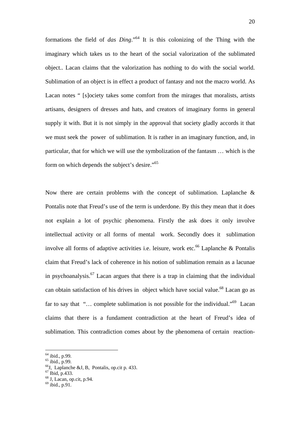formations the field of *das Ding*."[64](#page-19-0) It is this colonizing of the Thing with the imaginary which takes us to the heart of the social valorization of the sublimated object.. Lacan claims that the valorization has nothing to do with the social world. Sublimation of an object is in effect a product of fantasy and not the macro world. As Lacan notes " [s]ociety takes some comfort from the mirages that moralists, artists artisans, designers of dresses and hats, and creators of imaginary forms in general supply it with. But it is not simply in the approval that society gladly accords it that we must seek the power of sublimation. It is rather in an imaginary function, and, in particular, that for which we will use the symbolization of the fantasm … which is the form on which depends the subject's desire.["65](#page-19-1) 

Now there are certain problems with the concept of sublimation. Laplanche  $\&$ Pontalis note that Freud's use of the term is underdone. By this they mean that it does not explain a lot of psychic phenomena. Firstly the ask does it only involve intellectual activity or all forms of mental work. Secondly does it sublimation involve all forms of adaptive activities i.e. leisure, work etc.<sup>66</sup> Laplanche & Pontalis claim that Freud's lack of coherence in his notion of sublimation remain as a lacunae in psychoanalysis[.67](#page-19-3) Lacan argues that there is a trap in claiming that the individual can obtain satisfaction of his drives in object which have social value.<sup>68</sup> Lacan go as far to say that "... complete sublimation is not possible for the individual."<sup>69</sup> Lacan claims that there is a fundament contradiction at the heart of Freud's idea of sublimation. This contradiction comes about by the phenomena of certain reaction-

<span id="page-19-0"></span><sup>&</sup>lt;sup>64</sup> ibid., p.99.

<span id="page-19-1"></span><sup>65</sup> ibid., p.99.

<span id="page-19-2"></span> $^{66}$ J, Laplanche &J, B, Pontalis, op.cit p. 433.

<span id="page-19-3"></span> $^{67}$  Ibid, p.433.

<span id="page-19-4"></span><sup>68</sup> J, Lacan, op.cit, p.94.

<span id="page-19-5"></span> $^{69}$  ibid., p.91.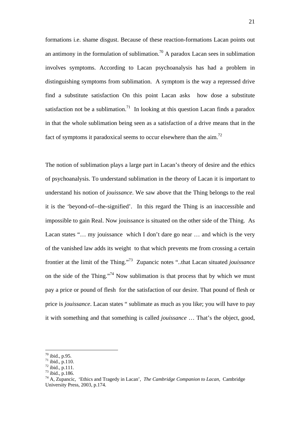formations i.e. shame disgust. Because of these reaction-formations Lacan points out an antimony in the formulation of sublimation.<sup>70</sup> A paradox Lacan sees in sublimation involves symptoms. According to Lacan psychoanalysis has had a problem in distinguishing symptoms from sublimation. A symptom is the way a repressed drive find a substitute satisfaction On this point Lacan asks how dose a substitute satisfaction not be a sublimation.<sup>71</sup> In looking at this question Lacan finds a paradox in that the whole sublimation being seen as a satisfaction of a drive means that in the fact of symptoms it paradoxical seems to occur elsewhere than the aim.<sup>[72](#page-20-2)</sup>

The notion of sublimation plays a large part in Lacan's theory of desire and the ethics of psychoanalysis. To understand sublimation in the theory of Lacan it is important to understand his notion of *jouissance*. We saw above that the Thing belongs to the real it is the 'beyond-of--the-signified'. In this regard the Thing is an inaccessible and impossible to gain Real. Now jouissance is situated on the other side of the Thing. As Lacan states "... my jouissance which I don't dare go near ... and which is the very of the vanished law adds its weight to that which prevents me from crossing a certain frontier at the limit of the Thing."[73](#page-20-3) Zupancic notes "..that Lacan situated *jouissance* on the side of the Thing."<sup>74</sup> Now sublimation is that process that by which we must pay a price or pound of flesh for the satisfaction of our desire. That pound of flesh or price is *jouissance*. Lacan states " sublimate as much as you like; you will have to pay it with something and that something is called *jouissance* … That's the object, good,

<span id="page-20-0"></span> $70$  ibid., p.95.

<span id="page-20-1"></span> $71$  ibid., p.110.

<span id="page-20-2"></span> $72 \text{ ibid.}, p.111.$ 

<span id="page-20-3"></span><sup>73</sup> ibid., p.186.

<span id="page-20-4"></span><sup>74</sup> A, Zupancic, 'Ethics and Tragedy in Lacan', *The Cambridge Companion to Lacan*, Cambridge University Press, 2003, p.174.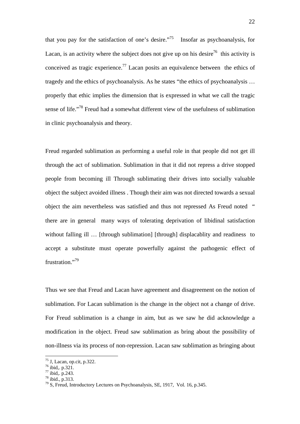that you pay for the satisfaction of one's desire. $175$  Insofar as psychoanalysis, for Lacan, is an activity where the subject does not give up on his desire<sup>76</sup> this activity is conceived as tragic experience.<sup>77</sup> Lacan posits an equivalence between the ethics of tragedy and the ethics of psychoanalysis. As he states "the ethics of psychoanalysis … properly that ethic implies the dimension that is expressed in what we call the tragic sense of life."[78](#page-21-3) Freud had a somewhat different view of the usefulness of sublimation in clinic psychoanalysis and theory.

Freud regarded sublimation as performing a useful role in that people did not get ill through the act of sublimation. Sublimation in that it did not repress a drive stopped people from becoming ill Through sublimating their drives into socially valuable object the subject avoided illness . Though their aim was not directed towards a sexual object the aim nevertheless was satisfied and thus not repressed As Freud noted " there are in general many ways of tolerating deprivation of libidinal satisfaction without falling ill ... [through sublimation] [through] displacablity and readiness to accept a substitute must operate powerfully against the pathogenic effect of frustration."<sup>79</sup>

Thus we see that Freud and Lacan have agreement and disagreement on the notion of sublimation. For Lacan sublimation is the change in the object not a change of drive. For Freud sublimation is a change in aim, but as we saw he did acknowledge a modification in the object. Freud saw sublimation as bring about the possibility of non-illness via its process of non-repression. Lacan saw sublimation as bringing about

<span id="page-21-0"></span> $75$  J, Lacan, op.cit, p.322.

<span id="page-21-1"></span> $76$  ibid,. p.321.

<span id="page-21-2"></span> $77 \text{ ibid}$ , p.243.

<span id="page-21-3"></span><sup>78</sup> ibid., p.313.

<span id="page-21-4"></span><sup>&</sup>lt;sup>79</sup> S, Freud, Introductory Lectures on Psychoanalysis, SE, 1917, Vol. 16, p.345.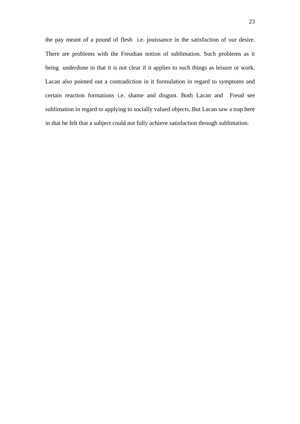the pay meant of a pound of flesh i.e. jouissance in the satisfaction of our desire. There are problems with the Freudian notion of sublimation. Such problems as it being underdone in that it is not clear if it applies to such things as leisure or work. Lacan also pointed out a contradiction in it formulation in regard to symptoms and certain reaction formations i.e. shame and disgust. Both Lacan and Freud see sublimation in regard to applying to socially valued objects. But Lacan saw a trap here in that he felt that a subject could not fully achieve satisfaction through sublimation.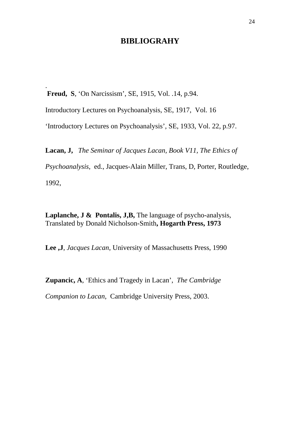### **BIBLIOGRAHY**

 **Freud, S**, 'On Narcissism', SE, 1915, Vol. .14, p.94.

.

Introductory Lectures on Psychoanalysis, SE, 1917, Vol. 16

'Introductory Lectures on Psychoanalysis', SE, 1933, Vol. 22, p.97.

**Lacan, J,** *The Seminar of Jacques Lacan, Book V11, The Ethics of* 

*Psychoanalysis*, ed., Jacques-Alain Miller, Trans, D, Porter, Routledge, 1992,

**Laplanche, J & Pontalis, J,B,** The language of psycho-analysis, Translated by Donald Nicholson-Smith**, Hogarth Press, 1973** 

**Lee ,J**, *Jacques Lacan*, University of Massachusetts Press, 1990

**Zupancic, A**, 'Ethics and Tragedy in Lacan', *The Cambridge* 

*Companion to Lacan*, Cambridge University Press, 2003.